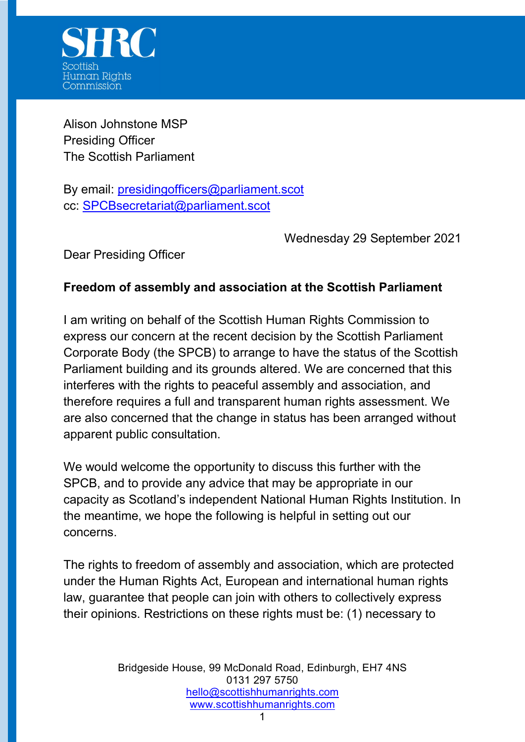

Alison Johnstone MSP Presiding Officer The Scottish Parliament

By email: presidingofficers@parliament.scot cc: SPCBsecretariat@parliament.scot

Wednesday 29 September 2021

Dear Presiding Officer

## Freedom of assembly and association at the Scottish Parliament

I am writing on behalf of the Scottish Human Rights Commission to express our concern at the recent decision by the Scottish Parliament Corporate Body (the SPCB) to arrange to have the status of the Scottish Parliament building and its grounds altered. We are concerned that this interferes with the rights to peaceful assembly and association, and therefore requires a full and transparent human rights assessment. We are also concerned that the change in status has been arranged without apparent public consultation.

We would welcome the opportunity to discuss this further with the SPCB, and to provide any advice that may be appropriate in our capacity as Scotland's independent National Human Rights Institution. In the meantime, we hope the following is helpful in setting out our concerns.

The rights to freedom of assembly and association, which are protected under the Human Rights Act, European and international human rights law, guarantee that people can join with others to collectively express their opinions. Restrictions on these rights must be: (1) necessary to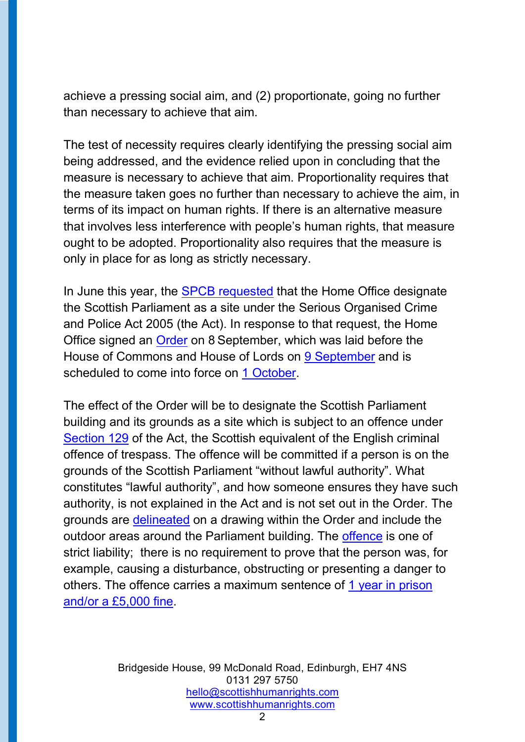achieve a pressing social aim, and (2) proportionate, going no further than necessary to achieve that aim.

The test of necessity requires clearly identifying the pressing social aim being addressed, and the evidence relied upon in concluding that the measure is necessary to achieve that aim. Proportionality requires that the measure taken goes no further than necessary to achieve the aim, in terms of its impact on human rights. If there is an alternative measure that involves less interference with people's human rights, that measure ought to be adopted. Proportionality also requires that the measure is only in place for as long as strictly necessary.

In June this year, the SPCB requested that the Home Office designate the Scottish Parliament as a site under the Serious Organised Crime and Police Act 2005 (the Act). In response to that request, the Home Office signed an Order on 8 September, which was laid before the House of Commons and House of Lords on 9 September and is scheduled to come into force on 1 October.

The effect of the Order will be to designate the Scottish Parliament building and its grounds as a site which is subject to an offence under Section 129 of the Act, the Scottish equivalent of the English criminal offence of trespass. The offence will be committed if a person is on the grounds of the Scottish Parliament "without lawful authority". What constitutes "lawful authority", and how someone ensures they have such authority, is not explained in the Act and is not set out in the Order. The grounds are delineated on a drawing within the Order and include the outdoor areas around the Parliament building. The offence is one of strict liability; there is no requirement to prove that the person was, for example, causing a disturbance, obstructing or presenting a danger to others. The offence carries a maximum sentence of 1 year in prison and/or a £5,000 fine.

> Bridgeside House, 99 McDonald Road, Edinburgh, EH7 4NS 0131 297 5750 hello@scottishhumanrights.com www.scottishhumanrights.com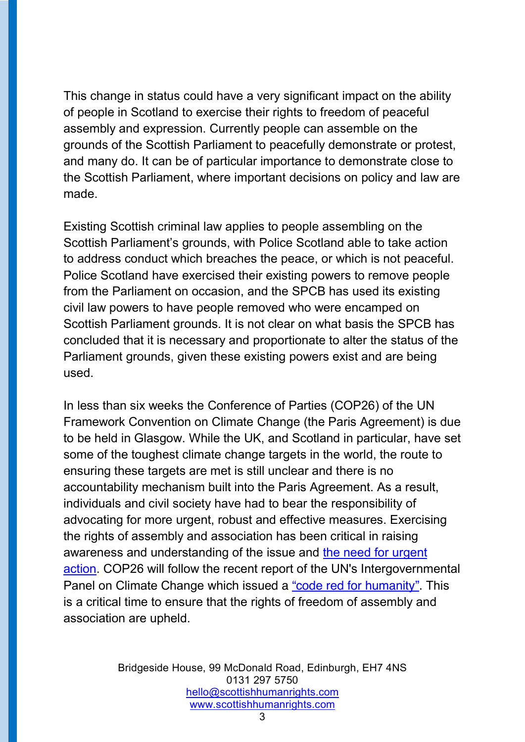This change in status could have a very significant impact on the ability of people in Scotland to exercise their rights to freedom of peaceful assembly and expression. Currently people can assemble on the grounds of the Scottish Parliament to peacefully demonstrate or protest, and many do. It can be of particular importance to demonstrate close to the Scottish Parliament, where important decisions on policy and law are made.

Existing Scottish criminal law applies to people assembling on the Scottish Parliament's grounds, with Police Scotland able to take action to address conduct which breaches the peace, or which is not peaceful. Police Scotland have exercised their existing powers to remove people from the Parliament on occasion, and the SPCB has used its existing civil law powers to have people removed who were encamped on Scottish Parliament grounds. It is not clear on what basis the SPCB has concluded that it is necessary and proportionate to alter the status of the Parliament grounds, given these existing powers exist and are being used.

In less than six weeks the Conference of Parties (COP26) of the UN Framework Convention on Climate Change (the Paris Agreement) is due to be held in Glasgow. While the UK, and Scotland in particular, have set some of the toughest climate change targets in the world, the route to ensuring these targets are met is still unclear and there is no accountability mechanism built into the Paris Agreement. As a result, individuals and civil society have had to bear the responsibility of advocating for more urgent, robust and effective measures. Exercising the rights of assembly and association has been critical in raising awareness and understanding of the issue and the need for urgent action. COP26 will follow the recent report of the UN's Intergovernmental Panel on Climate Change which issued a "code red for humanity". This is a critical time to ensure that the rights of freedom of assembly and association are upheld.

> Bridgeside House, 99 McDonald Road, Edinburgh, EH7 4NS 0131 297 5750 hello@scottishhumanrights.com www.scottishhumanrights.com